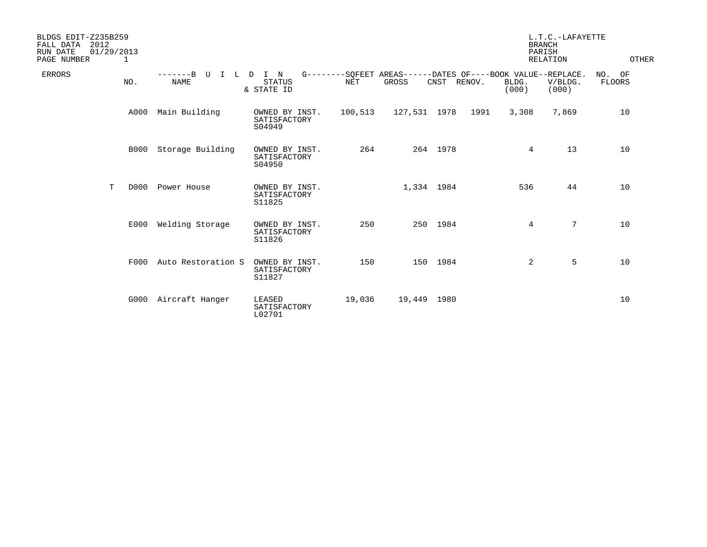| BLDGS EDIT-Z235B259<br>FALL DATA<br>2012<br>RUN DATE<br>01/29/2013<br>PAGE NUMBER<br>1 |   |             |                            |                                          |         | L.T.C.-LAFAYETTE<br><b>BRANCH</b><br>PARISH<br><b>RELATION</b>       |             |      |                | OTHER            |                     |
|----------------------------------------------------------------------------------------|---|-------------|----------------------------|------------------------------------------|---------|----------------------------------------------------------------------|-------------|------|----------------|------------------|---------------------|
| <b>ERRORS</b>                                                                          |   | NO.         | $-----B$<br>U<br>T<br>NAME | L D I N<br><b>STATUS</b><br>& STATE ID   | NET     | G--------SOFEET AREAS------DATES OF----BOOK VALUE--REPLACE.<br>GROSS | CNST RENOV. |      | BLDG.<br>(000) | V/BLDG.<br>(000) | NO.<br>OF<br>FLOORS |
|                                                                                        |   | A000        | Main Building              | OWNED BY INST.<br>SATISFACTORY<br>S04949 | 100,513 | 127,531 1978                                                         |             | 1991 | 3,308          | 7,869            | 10                  |
|                                                                                        |   | <b>B000</b> | Storage Building           | OWNED BY INST.<br>SATISFACTORY<br>S04950 | 264     |                                                                      | 264 1978    |      | 4              | 13               | 10                  |
|                                                                                        | T | D000        | Power House                | OWNED BY INST.<br>SATISFACTORY<br>S11825 |         | 1,334 1984                                                           |             |      | 536            | 44               | 10                  |
|                                                                                        |   | E000        | Welding Storage            | OWNED BY INST.<br>SATISFACTORY<br>S11826 | 250     |                                                                      | 250 1984    |      | 4              | $7\overline{ }$  | 10                  |
|                                                                                        |   | F000        | Auto Restoration S         | OWNED BY INST.<br>SATISFACTORY<br>S11827 | 150     |                                                                      | 150 1984    |      | $\overline{2}$ | 5                | 10                  |
|                                                                                        |   | G000        | Aircraft Hanger            | LEASED<br>SATISFACTORY<br>L02701         | 19,036  | 19,449 1980                                                          |             |      |                |                  | 10                  |